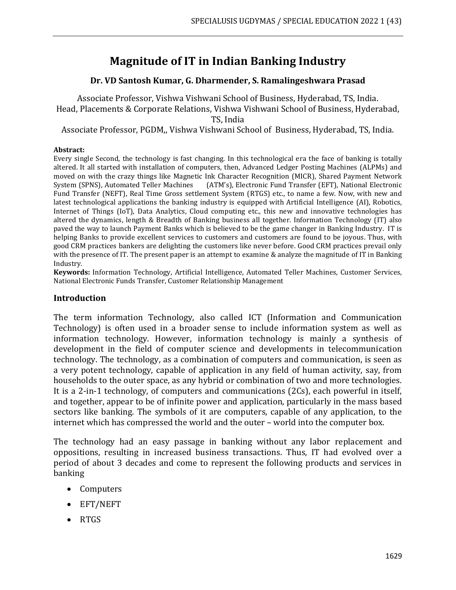# **Magnitude of IT in Indian Banking Industry**

## **Dr. VD Santosh Kumar, G. Dharmender, S. Ramalingeshwara Prasad**

Associate Professor, Vishwa Vishwani School of Business, Hyderabad, TS, India. Head, Placements & Corporate Relations, Vishwa Vishwani School of Business, Hyderabad, TS, India

Associate Professor, PGDM,, Vishwa Vishwani School of Business, Hyderabad, TS, India.

#### **Abstract:**

Every single Second, the technology is fast changing. In this technological era the face of banking is totally altered. It all started with installation of computers, then, Advanced Ledger Posting Machines (ALPMs) and moved on with the crazy things like Magnetic Ink Character Recognition (MICR), Shared Payment Network System (SPNS), Automated Teller Machines (ATM's), Electronic Fund Transfer (EFT), National Electronic Fund Transfer (NEFT), Real Time Gross settlement System (RTGS) etc., to name a few. Now, with new and latest technological applications the banking industry is equipped with Artificial Intelligence (AI), Robotics, Internet of Things (IoT), Data Analytics, Cloud computing etc., this new and innovative technologies has altered the dynamics, length & Breadth of Banking business all together. Information Technology (IT) also paved the way to launch Payment Banks which is believed to be the game changer in Banking Industry. IT is helping Banks to provide excellent services to customers and customers are found to be joyous. Thus, with good CRM practices bankers are delighting the customers like never before. Good CRM practices prevail only with the presence of IT. The present paper is an attempt to examine & analyze the magnitude of IT in Banking Industry.

**Keywords:** Information Technology, Artificial Intelligence, Automated Teller Machines, Customer Services, National Electronic Funds Transfer, Customer Relationship Management

#### **Introduction**

The term information Technology, also called ICT (Information and Communication Technology) is often used in a broader sense to include information system as well as information technology. However, information technology is mainly a synthesis of development in the field of computer science and developments in telecommunication technology. The technology, as a combination of computers and communication, is seen as a very potent technology, capable of application in any field of human activity, say, from households to the outer space, as any hybrid or combination of two and more technologies. It is a 2-in-1 technology, of computers and communications (2Cs), each powerful in itself, and together, appear to be of infinite power and application, particularly in the mass based sectors like banking. The symbols of it are computers, capable of any application, to the internet which has compressed the world and the outer – world into the computer box.

The technology had an easy passage in banking without any labor replacement and oppositions, resulting in increased business transactions. Thus, IT had evolved over a period of about 3 decades and come to represent the following products and services in banking

- Computers
- EFT/NEFT
- RTGS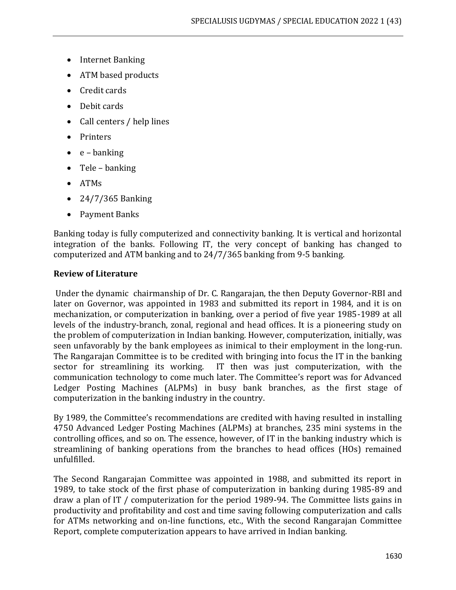- Internet Banking
- ATM based products
- Credit cards
- Debit cards
- Call centers / help lines
- Printers
- $\bullet$  e banking
- Tele banking
- ATMs
- 24/7/365 Banking
- Payment Banks

Banking today is fully computerized and connectivity banking. It is vertical and horizontal integration of the banks. Following IT, the very concept of banking has changed to computerized and ATM banking and to 24/7/365 banking from 9-5 banking.

## **Review of Literature**

Under the dynamic chairmanship of Dr. C. Rangarajan, the then Deputy Governor-RBI and later on Governor, was appointed in 1983 and submitted its report in 1984, and it is on mechanization, or computerization in banking, over a period of five year 1985-1989 at all levels of the industry-branch, zonal, regional and head offices. It is a pioneering study on the problem of computerization in Indian banking. However, computerization, initially, was seen unfavorably by the bank employees as inimical to their employment in the long-run. The Rangarajan Committee is to be credited with bringing into focus the IT in the banking sector for streamlining its working. IT then was just computerization, with the communication technology to come much later. The Committee's report was for Advanced Ledger Posting Machines (ALPMs) in busy bank branches, as the first stage of computerization in the banking industry in the country.

By 1989, the Committee's recommendations are credited with having resulted in installing 4750 Advanced Ledger Posting Machines (ALPMs) at branches, 235 mini systems in the controlling offices, and so on. The essence, however, of IT in the banking industry which is streamlining of banking operations from the branches to head offices (HOs) remained unfulfilled.

The Second Rangarajan Committee was appointed in 1988, and submitted its report in 1989, to take stock of the first phase of computerization in banking during 1985-89 and draw a plan of IT / computerization for the period 1989-94. The Committee lists gains in productivity and profitability and cost and time saving following computerization and calls for ATMs networking and on-line functions, etc., With the second Rangarajan Committee Report, complete computerization appears to have arrived in Indian banking.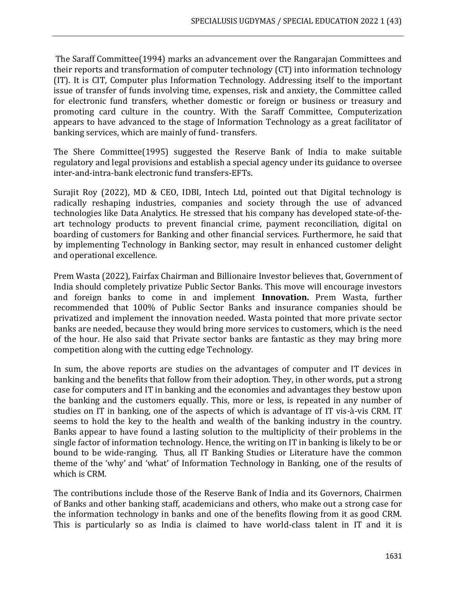The Saraff Committee(1994) marks an advancement over the Rangarajan Committees and their reports and transformation of computer technology (CT) into information technology (IT). It is CIT, Computer plus Information Technology. Addressing itself to the important issue of transfer of funds involving time, expenses, risk and anxiety, the Committee called for electronic fund transfers, whether domestic or foreign or business or treasury and promoting card culture in the country. With the Saraff Committee, Computerization appears to have advanced to the stage of Information Technology as a great facilitator of banking services, which are mainly of fund- transfers.

The Shere Committee(1995) suggested the Reserve Bank of India to make suitable regulatory and legal provisions and establish a special agency under its guidance to oversee inter-and-intra-bank electronic fund transfers-EFTs.

Surajit Roy (2022), MD & CEO, IDBI, Intech Ltd, pointed out that Digital technology is radically reshaping industries, companies and society through the use of advanced technologies like Data Analytics. He stressed that his company has developed state-of-theart technology products to prevent financial crime, payment reconciliation, digital on boarding of customers for Banking and other financial services. Furthermore, he said that by implementing Technology in Banking sector, may result in enhanced customer delight and operational excellence.

Prem Wasta (2022), Fairfax Chairman and Billionaire Investor believes that, Government of India should completely privatize Public Sector Banks. This move will encourage investors and foreign banks to come in and implement **Innovation.** Prem Wasta, further recommended that 100% of Public Sector Banks and insurance companies should be privatized and implement the innovation needed. Wasta pointed that more private sector banks are needed, because they would bring more services to customers, which is the need of the hour. He also said that Private sector banks are fantastic as they may bring more competition along with the cutting edge Technology.

In sum, the above reports are studies on the advantages of computer and IT devices in banking and the benefits that follow from their adoption. They, in other words, put a strong case for computers and IT in banking and the economies and advantages they bestow upon the banking and the customers equally. This, more or less, is repeated in any number of studies on IT in banking, one of the aspects of which is advantage of IT vis-à-vis CRM. IT seems to hold the key to the health and wealth of the banking industry in the country. Banks appear to have found a lasting solution to the multiplicity of their problems in the single factor of information technology. Hence, the writing on IT in banking is likely to be or bound to be wide-ranging. Thus, all IT Banking Studies or Literature have the common theme of the 'why' and 'what' of Information Technology in Banking, one of the results of which is CRM.

The contributions include those of the Reserve Bank of India and its Governors, Chairmen of Banks and other banking staff, academicians and others, who make out a strong case for the information technology in banks and one of the benefits flowing from it as good CRM. This is particularly so as India is claimed to have world-class talent in IT and it is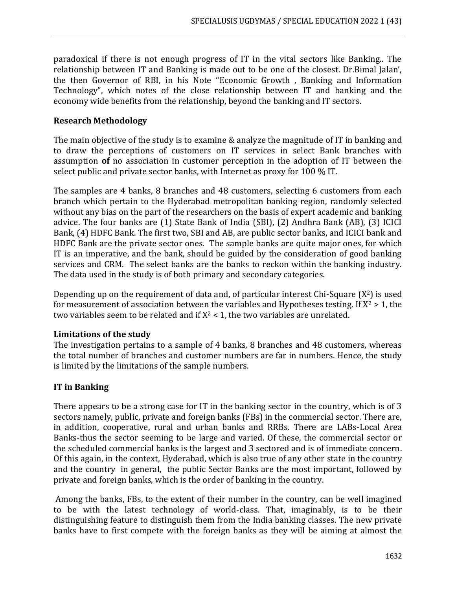paradoxical if there is not enough progress of IT in the vital sectors like Banking.. The relationship between IT and Banking is made out to be one of the closest. Dr.Bimal Jalan', the then Governor of RBI, in his Note "Economic Growth , Banking and Information Technology", which notes of the close relationship between IT and banking and the economy wide benefits from the relationship, beyond the banking and IT sectors.

## **Research Methodology**

The main objective of the study is to examine & analyze the magnitude of IT in banking and to draw the perceptions of customers on IT services in select Bank branches with assumption **of** no association in customer perception in the adoption of IT between the select public and private sector banks, with Internet as proxy for 100 % IT.

The samples are 4 banks, 8 branches and 48 customers, selecting 6 customers from each branch which pertain to the Hyderabad metropolitan banking region, randomly selected without any bias on the part of the researchers on the basis of expert academic and banking advice. The four banks are (1) State Bank of India (SBI), (2) Andhra Bank (AB), (3) ICICI Bank, (4) HDFC Bank. The first two, SBI and AB, are public sector banks, and ICICI bank and HDFC Bank are the private sector ones. The sample banks are quite major ones, for which IT is an imperative, and the bank, should be guided by the consideration of good banking services and CRM. The select banks are the banks to reckon within the banking industry. The data used in the study is of both primary and secondary categories.

Depending up on the requirement of data and, of particular interest Chi-Square  $(X^2)$  is used for measurement of association between the variables and Hypotheses testing. If  $X^2 > 1$ , the two variables seem to be related and if  $X^2 < 1$ , the two variables are unrelated.

# **Limitations of the study**

The investigation pertains to a sample of 4 banks, 8 branches and 48 customers, whereas the total number of branches and customer numbers are far in numbers. Hence, the study is limited by the limitations of the sample numbers.

# **IT in Banking**

There appears to be a strong case for IT in the banking sector in the country, which is of 3 sectors namely, public, private and foreign banks (FBs) in the commercial sector. There are, in addition, cooperative, rural and urban banks and RRBs. There are LABs-Local Area Banks-thus the sector seeming to be large and varied. Of these, the commercial sector or the scheduled commercial banks is the largest and 3 sectored and is of immediate concern. Of this again, in the context, Hyderabad, which is also true of any other state in the country and the country in general, the public Sector Banks are the most important, followed by private and foreign banks, which is the order of banking in the country.

Among the banks, FBs, to the extent of their number in the country, can be well imagined to be with the latest technology of world-class. That, imaginably, is to be their distinguishing feature to distinguish them from the India banking classes. The new private banks have to first compete with the foreign banks as they will be aiming at almost the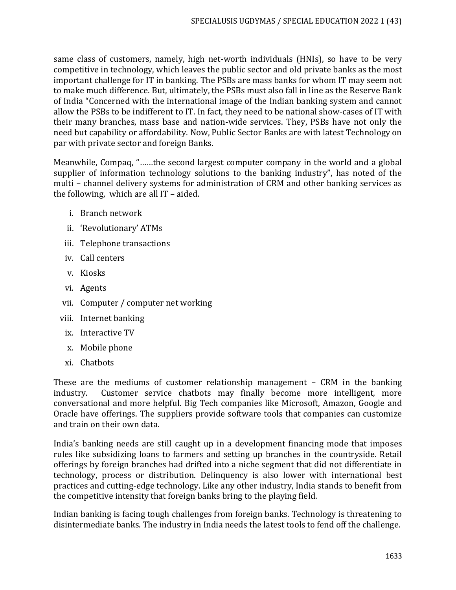same class of customers, namely, high net-worth individuals (HNIs), so have to be very competitive in technology, which leaves the public sector and old private banks as the most important challenge for IT in banking. The PSBs are mass banks for whom IT may seem not to make much difference. But, ultimately, the PSBs must also fall in line as the Reserve Bank of India "Concerned with the international image of the Indian banking system and cannot allow the PSBs to be indifferent to IT. In fact, they need to be national show-cases of IT with their many branches, mass base and nation-wide services. They, PSBs have not only the need but capability or affordability. Now, Public Sector Banks are with latest Technology on par with private sector and foreign Banks.

Meanwhile, Compaq, "……the second largest computer company in the world and a global supplier of information technology solutions to the banking industry", has noted of the multi – channel delivery systems for administration of CRM and other banking services as the following, which are all IT – aided.

- i. Branch network
- ii. 'Revolutionary' ATMs
- iii. Telephone transactions
- iv. Call centers
- v. Kiosks
- vi. Agents
- vii. Computer / computer net working
- viii. Internet banking
	- ix. Interactive TV
	- x. Mobile phone
- xi. Chatbots

These are the mediums of customer relationship management – CRM in the banking industry. Customer service chatbots may finally become more intelligent, more conversational and more helpful. Big Tech companies like Microsoft, Amazon, Google and Oracle have offerings. The suppliers provide software tools that companies can customize and train on their own data.

India's banking needs are still caught up in a development financing mode that imposes rules like subsidizing loans to farmers and setting up branches in the countryside. Retail offerings by foreign branches had drifted into a niche segment that did not differentiate in technology, process or distribution. Delinquency is also lower with international best practices and cutting-edge technology. Like any other industry, India stands to benefit from the competitive intensity that foreign banks bring to the playing field.

Indian banking is facing tough challenges from foreign banks. Technology is threatening to disintermediate banks. The industry in India needs the latest tools to fend off the challenge.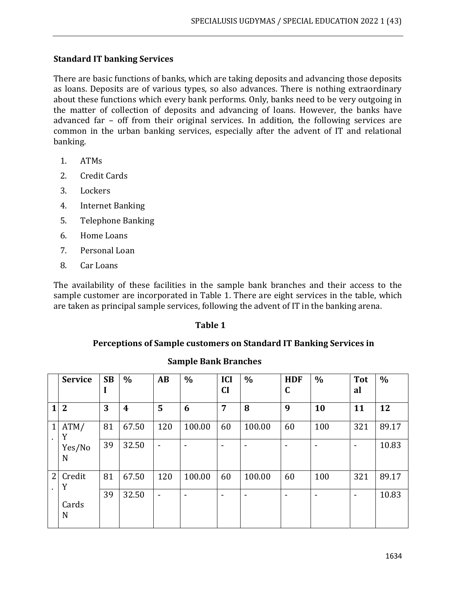# **Standard IT banking Services**

There are basic functions of banks, which are taking deposits and advancing those deposits as loans. Deposits are of various types, so also advances. There is nothing extraordinary about these functions which every bank performs. Only, banks need to be very outgoing in the matter of collection of deposits and advancing of loans. However, the banks have advanced far – off from their original services. In addition, the following services are common in the urban banking services, especially after the advent of IT and relational banking.

- 1. ATMs
- 2. Credit Cards
- 3. Lockers
- 4. Internet Banking
- 5. Telephone Banking
- 6. Home Loans
- 7. Personal Loan
- 8. Car Loans

The availability of these facilities in the sample bank branches and their access to the sample customer are incorporated in Table 1. There are eight services in the table, which are taken as principal sample services, following the advent of IT in the banking arena.

#### **Table 1**

## **Perceptions of Sample customers on Standard IT Banking Services in**

|                | <b>Service</b> | <b>SB</b><br>л | $\frac{0}{0}$    | AB                       | $\frac{0}{0}$            | <b>ICI</b><br>CI | $\%$   | <b>HDF</b><br>C | $\frac{0}{0}$ | <b>Tot</b><br>al             | $\%$  |
|----------------|----------------|----------------|------------------|--------------------------|--------------------------|------------------|--------|-----------------|---------------|------------------------------|-------|
| 1              | $\overline{2}$ | 3              | $\boldsymbol{4}$ | 5                        | 6                        | 7                | 8      | 9               | 10            | 11                           | 12    |
| $\mathbf{1}$   | ATM/<br>Y      | 81             | 67.50            | 120                      | 100.00                   | 60               | 100.00 | 60              | 100           | 321                          | 89.17 |
|                | Yes/No<br>N    | 39             | 32.50            | $\blacksquare$           | $\overline{\phantom{a}}$ |                  |        |                 |               | $\qquad \qquad \blacksquare$ | 10.83 |
| $\overline{2}$ | Credit<br>Y    | 81             | 67.50            | 120                      | 100.00                   | 60               | 100.00 | 60              | 100           | 321                          | 89.17 |
|                | Cards<br>N     | 39             | 32.50            | $\overline{\phantom{0}}$ | $\overline{\phantom{a}}$ |                  |        |                 |               | $\blacksquare$               | 10.83 |

# **Sample Bank Branches**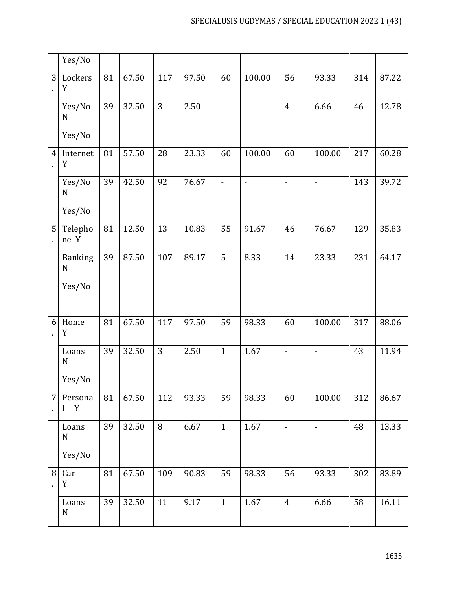|                | Yes/No                                  |    |       |     |       |                          |                |                |                |     |       |
|----------------|-----------------------------------------|----|-------|-----|-------|--------------------------|----------------|----------------|----------------|-----|-------|
| 3              | Lockers<br>Y                            | 81 | 67.50 | 117 | 97.50 | 60                       | 100.00         | 56             | 93.33          | 314 | 87.22 |
|                | Yes/No<br>N<br>Yes/No                   | 39 | 32.50 | 3   | 2.50  | $\overline{\phantom{a}}$ | $\frac{1}{2}$  | $\overline{4}$ | 6.66           | 46  | 12.78 |
| $\overline{4}$ | Internet<br>$\mathbf Y$                 | 81 | 57.50 | 28  | 23.33 | 60                       | 100.00         | 60             | 100.00         | 217 | 60.28 |
|                | Yes/No<br>$\mathbf N$<br>Yes/No         | 39 | 42.50 | 92  | 76.67 | $\blacksquare$           | $\overline{a}$ | $\blacksquare$ | $\frac{1}{2}$  | 143 | 39.72 |
| 5              | Telepho<br>ne Y                         | 81 | 12.50 | 13  | 10.83 | 55                       | 91.67          | 46             | 76.67          | 129 | 35.83 |
|                | <b>Banking</b><br>$\mathbf N$<br>Yes/No | 39 | 87.50 | 107 | 89.17 | 5                        | 8.33           | 14             | 23.33          | 231 | 64.17 |
| 6              | Home<br>Y                               | 81 | 67.50 | 117 | 97.50 | 59                       | 98.33          | 60             | 100.00         | 317 | 88.06 |
|                | Loans<br>$\mathbf N$<br>Yes/No          | 39 | 32.50 | 3   | 2.50  | $\mathbf{1}$             | 1.67           | $\frac{1}{2}$  | $\overline{a}$ | 43  | 11.94 |
| 7              | Persona<br>Y<br>1                       | 81 | 67.50 | 112 | 93.33 | 59                       | 98.33          | 60             | 100.00         | 312 | 86.67 |
|                | Loans<br>N<br>Yes/No                    | 39 | 32.50 | 8   | 6.67  | $\mathbf{1}$             | 1.67           | $\blacksquare$ | $\blacksquare$ | 48  | 13.33 |
| 8              | Car<br>Y                                | 81 | 67.50 | 109 | 90.83 | 59                       | 98.33          | 56             | 93.33          | 302 | 83.89 |
|                | Loans<br>N                              | 39 | 32.50 | 11  | 9.17  | $\mathbf{1}$             | 1.67           | $\overline{4}$ | 6.66           | 58  | 16.11 |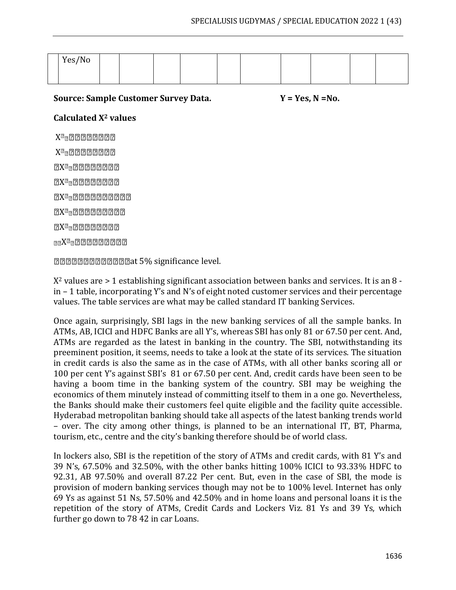| Yes/No |  |  |  |  |  |
|--------|--|--|--|--|--|
|        |  |  |  |  |  |

Source: Sample Customer Survey Data. Y = Yes, N = No.

# **Calculated X<sup>2</sup> values**

X  $X^2$ <sub>2</sub>200000000 2X<sup>2</sup>222222222  $2X^2$  200000000  $2X^2$ 22200000000 2X<sup>2</sup>2220000000  $2X^{2}$ 222222222  $_{22}X^{2}$ 2222222222

**DODDDDDDDDDD**at 5% significance level.

 $X<sup>2</sup>$  values are  $> 1$  establishing significant association between banks and services. It is an 8 in – 1 table, incorporating Y's and N's of eight noted customer services and their percentage values. The table services are what may be called standard IT banking Services.

Once again, surprisingly, SBI lags in the new banking services of all the sample banks. In ATMs, AB, ICICI and HDFC Banks are all Y's, whereas SBI has only 81 or 67.50 per cent. And, ATMs are regarded as the latest in banking in the country. The SBI, notwithstanding its preeminent position, it seems, needs to take a look at the state of its services. The situation in credit cards is also the same as in the case of ATMs, with all other banks scoring all or 100 per cent Y's against SBI's 81 or 67.50 per cent. And, credit cards have been seen to be having a boom time in the banking system of the country. SBI may be weighing the economics of them minutely instead of committing itself to them in a one go. Nevertheless, the Banks should make their customers feel quite eligible and the facility quite accessible. Hyderabad metropolitan banking should take all aspects of the latest banking trends world – over. The city among other things, is planned to be an international IT, BT, Pharma, tourism, etc., centre and the city's banking therefore should be of world class.

In lockers also, SBI is the repetition of the story of ATMs and credit cards, with 81 Y's and 39 N's, 67.50% and 32.50%, with the other banks hitting 100% ICICI to 93.33% HDFC to 92.31, AB 97.50% and overall 87.22 Per cent. But, even in the case of SBI, the mode is provision of modern banking services though may not be to 100% level. Internet has only 69 Ys as against 51 Ns, 57.50% and 42.50% and in home loans and personal loans it is the repetition of the story of ATMs, Credit Cards and Lockers Viz. 81 Ys and 39 Ys, which further go down to 78 42 in car Loans.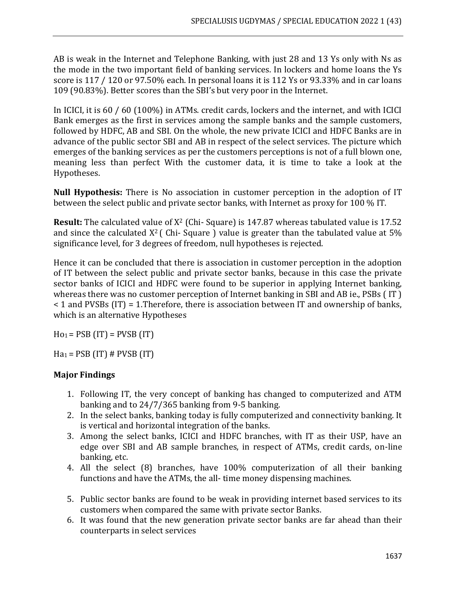AB is weak in the Internet and Telephone Banking, with just 28 and 13 Ys only with Ns as the mode in the two important field of banking services. In lockers and home loans the Ys score is 117 / 120 or 97.50% each. In personal loans it is 112 Ys or 93.33% and in car loans 109 (90.83%). Better scores than the SBI's but very poor in the Internet.

In ICICI, it is 60 / 60 (100%) in ATMs. credit cards, lockers and the internet, and with ICICI Bank emerges as the first in services among the sample banks and the sample customers, followed by HDFC, AB and SBI. On the whole, the new private ICICI and HDFC Banks are in advance of the public sector SBI and AB in respect of the select services. The picture which emerges of the banking services as per the customers perceptions is not of a full blown one, meaning less than perfect With the customer data, it is time to take a look at the Hypotheses.

**Null Hypothesis:** There is No association in customer perception in the adoption of IT between the select public and private sector banks, with Internet as proxy for 100 % IT.

**Result:** The calculated value of  $X^2$  (Chi- Square) is 147.87 whereas tabulated value is 17.52 and since the calculated  $X^2$  (Chi-Square) value is greater than the tabulated value at 5% significance level, for 3 degrees of freedom, null hypotheses is rejected.

Hence it can be concluded that there is association in customer perception in the adoption of IT between the select public and private sector banks, because in this case the private sector banks of ICICI and HDFC were found to be superior in applying Internet banking, whereas there was no customer perception of Internet banking in SBI and AB ie., PSBs ( IT ) < 1 and PVSBs (IT) = 1.Therefore, there is association between IT and ownership of banks, which is an alternative Hypotheses

 $Ho<sub>1</sub> = PSB (IT) = PVSB (IT)$ 

 $Ha_1 = PSB$  (IT) # PVSB (IT)

# **Major Findings**

- 1. Following IT, the very concept of banking has changed to computerized and ATM banking and to 24/7/365 banking from 9-5 banking.
- 2. In the select banks, banking today is fully computerized and connectivity banking. It is vertical and horizontal integration of the banks.
- 3. Among the select banks, ICICI and HDFC branches, with IT as their USP, have an edge over SBI and AB sample branches, in respect of ATMs, credit cards, on-line banking, etc.
- 4. All the select (8) branches, have 100% computerization of all their banking functions and have the ATMs, the all- time money dispensing machines.
- 5. Public sector banks are found to be weak in providing internet based services to its customers when compared the same with private sector Banks.
- 6. It was found that the new generation private sector banks are far ahead than their counterparts in select services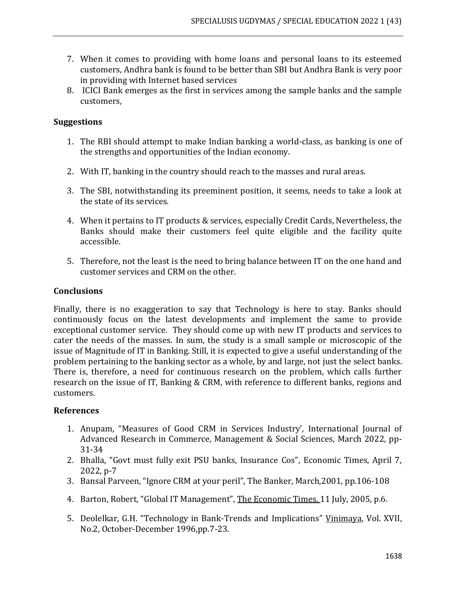- 7. When it comes to providing with home loans and personal loans to its esteemed customers, Andhra bank is found to be better than SBI but Andhra Bank is very poor in providing with Internet based services
- 8. ICICI Bank emerges as the first in services among the sample banks and the sample customers,

## **Suggestions**

- 1. The RBI should attempt to make Indian banking a world-class, as banking is one of the strengths and opportunities of the Indian economy.
- 2. With IT, banking in the country should reach to the masses and rural areas.
- 3. The SBI, notwithstanding its preeminent position, it seems, needs to take a look at the state of its services.
- 4. When it pertains to IT products & services, especially Credit Cards, Nevertheless, the Banks should make their customers feel quite eligible and the facility quite accessible.
- 5. Therefore, not the least is the need to bring balance between IT on the one hand and customer services and CRM on the other.

## **Conclusions**

Finally, there is no exaggeration to say that Technology is here to stay. Banks should continuously focus on the latest developments and implement the same to provide exceptional customer service. They should come up with new IT products and services to cater the needs of the masses. In sum, the study is a small sample or microscopic of the issue of Magnitude of IT in Banking. Still, it is expected to give a useful understanding of the problem pertaining to the banking sector as a whole, by and large, not just the select banks. There is, therefore, a need for continuous research on the problem, which calls further research on the issue of IT, Banking & CRM, with reference to different banks, regions and customers.

## **References**

- 1. Anupam, "Measures of Good CRM in Services Industry', International Journal of Advanced Research in Commerce, Management & Social Sciences, March 2022, pp-31-34
- 2. Bhalla, "Govt must fully exit PSU banks, Insurance Cos", Economic Times, April 7, 2022, p-7
- 3. Bansal Parveen, "Ignore CRM at your peril", The Banker, March,2001, pp.106-108
- 4. Barton, Robert, "Global IT Management", The Economic Times, 11 July, 2005, p.6.
- 5. Deolelkar, G.H. "Technology in Bank-Trends and Implications" Vinimaya, Vol. XVII, No.2, October-December 1996,pp.7-23.